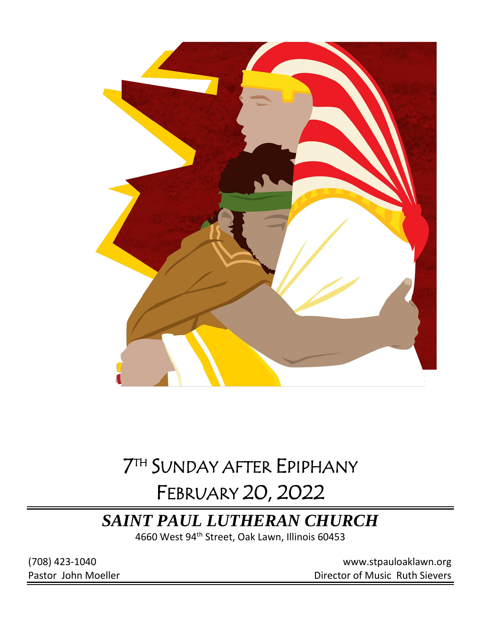

# 7 TH SUNDAY AFTER EPIPHANY

# FEBRUARY 20, 2022

## *SAINT PAUL LUTHERAN CHURCH*

4660 West 94<sup>th</sup> Street, Oak Lawn, Illinois 60453

(708) 423-1040 [www.stpauloaklawn.org](about:blank) Pastor John Moeller **Director of Music Ruth Sievers**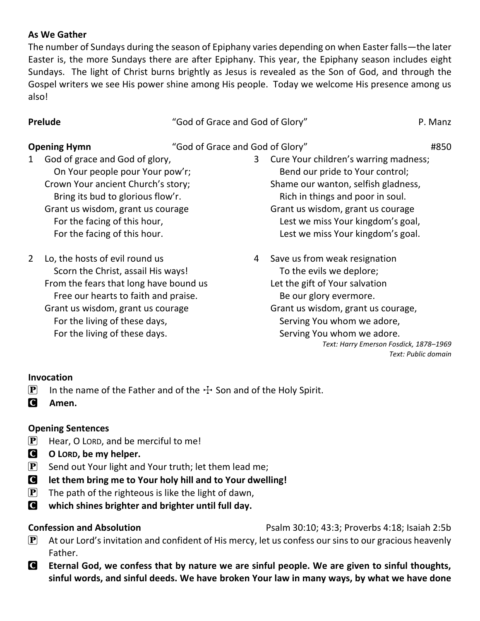### **As We Gather**

The number of Sundays during the season of Epiphany varies depending on when Easter falls—the later Easter is, the more Sundays there are after Epiphany. This year, the Epiphany season includes eight Sundays. The light of Christ burns brightly as Jesus is revealed as the Son of God, and through the Gospel writers we see His power shine among His people. Today we welcome His presence among us also!

**Prelude** The contract of Grace and God of Glory" **P. Manz** 

### **Opening Hymn** "God of Grace and God of Glory" #850

- 1 God of grace and God of glory, On Your people pour Your pow'r; Crown Your ancient Church's story; Bring its bud to glorious flow'r. Grant us wisdom, grant us courage For the facing of this hour, For the facing of this hour.
- 2 Lo, the hosts of evil round us Scorn the Christ, assail His ways! From the fears that long have bound us Free our hearts to faith and praise. Grant us wisdom, grant us courage For the living of these days, For the living of these days.
- 3 Cure Your children's warring madness; Bend our pride to Your control; Shame our wanton, selfish gladness, Rich in things and poor in soul. Grant us wisdom, grant us courage Lest we miss Your kingdom's goal, Lest we miss Your kingdom's goal.
- 4 Save us from weak resignation To the evils we deplore; Let the gift of Your salvation Be our glory evermore. Grant us wisdom, grant us courage, Serving You whom we adore, Serving You whom we adore. *Text: Harry Emerson Fosdick, 1878–1969 Text: Public domain*

### **Invocation**

- **P** In the name of the Father and of the  $\pm$  Son and of the Holy Spirit.
- C **Amen.**

### **Opening Sentences**

- $\left[ \mathbf{P} \right]$  Hear, O LORD, and be merciful to me!
- C **O LORD, be my helper.**
- $\left| \mathbf{P} \right|$  Send out Your light and Your truth; let them lead me;
- C **let them bring me to Your holy hill and to Your dwelling!**
- $\left| \mathbf{P} \right|$  The path of the righteous is like the light of dawn,
- C **which shines brighter and brighter until full day.**

- **Confession and Absolution Psalm 30:10; 43:3; Proverbs 4:18; Isaiah 2:5b**
- $\mathbf{P}$  At our Lord's invitation and confident of His mercy, let us confess our sins to our gracious heavenly Father.
- C **Eternal God, we confess that by nature we are sinful people. We are given to sinful thoughts, sinful words, and sinful deeds. We have broken Your law in many ways, by what we have done**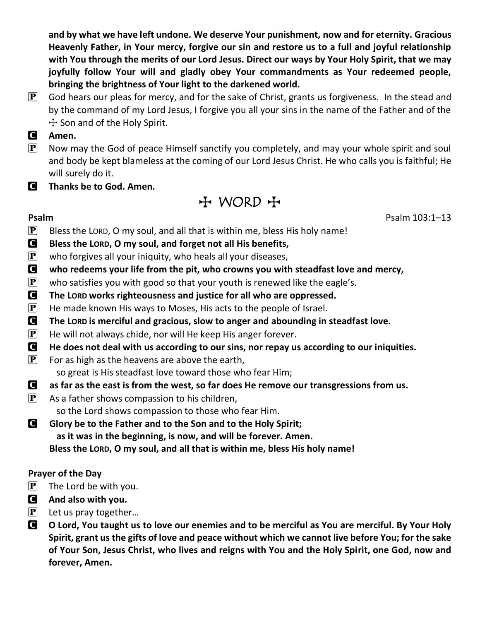**and by what we have left undone. We deserve Your punishment, now and for eternity. Gracious Heavenly Father, in Your mercy, forgive our sin and restore us to a full and joyful relationship with You through the merits of our Lord Jesus. Direct our ways by Your Holy Spirit, that we may joyfully follow Your will and gladly obey Your commandments as Your redeemed people, bringing the brightness of Your light to the darkened world.**

- $\mathbf{P}$  God hears our pleas for mercy, and for the sake of Christ, grants us forgiveness. In the stead and by the command of my Lord Jesus, I forgive you all your sins in the name of the Father and of the  $+$  Son and of the Holy Spirit.
- C **Amen.**
- $\mathbf{P}$  Now may the God of peace Himself sanctify you completely, and may your whole spirit and soul and body be kept blameless at the coming of our Lord Jesus Christ. He who calls you is faithful; He will surely do it.
- C **Thanks be to God. Amen.**

## $H$  WORD  $H$

**Psalm** Psalm 103:1–13

- $\mathbf{P}$  Bless the LORD, O my soul, and all that is within me, bless His holy name!
- C **Bless the LORD, O my soul, and forget not all His benefits,**
- $\mathbf{P}$  who forgives all your iniquity, who heals all your diseases,
- C **who redeems your life from the pit, who crowns you with steadfast love and mercy,**
- $\mathbf{P}$  who satisfies you with good so that your youth is renewed like the eagle's.
- C **The LORD works righteousness and justice for all who are oppressed.**
- $\mathbf{P}$  He made known His ways to Moses, His acts to the people of Israel.
- **C** The LORD is merciful and gracious, slow to anger and abounding in steadfast love.
- $\mathbf{P}$  He will not always chide, nor will He keep His anger forever.
- C **He does not deal with us according to our sins, nor repay us according to our iniquities.**
- $\left[ \mathbf{P} \right]$  For as high as the heavens are above the earth, so great is His steadfast love toward those who fear Him;
- C **as far as the east is from the west, so far does He remove our transgressions from us.**
- $\left[ \mathbf{P} \right]$  As a father shows compassion to his children, so the Lord shows compassion to those who fear Him.
- C **Glory be to the Father and to the Son and to the Holy Spirit; as it was in the beginning, is now, and will be forever. Amen. Bless the LORD, O my soul, and all that is within me, bless His holy name!**

## **Prayer of the Day**

- $\left[\mathbf{P}\right]$  The Lord be with you.
- C **And also with you.**
- $\left[\mathbf{P}\right]$  Let us pray together...
- C **O Lord, You taught us to love our enemies and to be merciful as You are merciful. By Your Holy Spirit, grant us the gifts of love and peace without which we cannot live before You; for the sake of Your Son, Jesus Christ, who lives and reigns with You and the Holy Spirit, one God, now and forever, Amen.**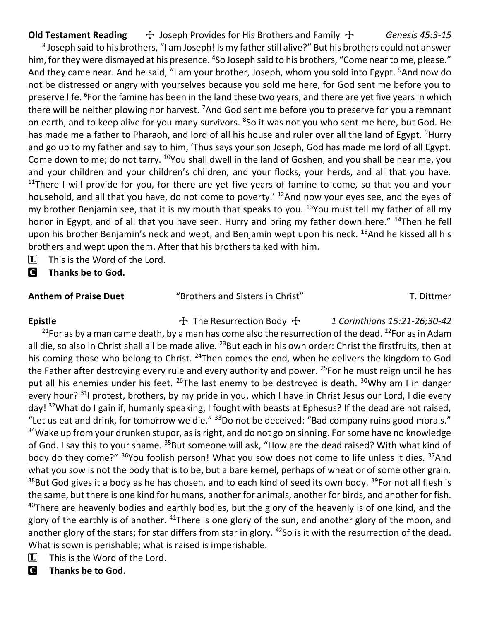**Old Testament Reading**  $\quad$   $\div$  Joseph Provides for His Brothers and Family  $\div$  *Genesis 45:3-15* 

<sup>3</sup> Joseph said to his brothers, "I am Joseph! Is my father still alive?" But his brothers could not answer him, for they were dismayed at his presence. <sup>4</sup>So Joseph said to his brothers, "Come near to me, please." And they came near. And he said, "I am your brother, Joseph, whom you sold into Egypt. <sup>5</sup>And now do not be distressed or angry with yourselves because you sold me here, for God sent me before you to preserve life. <sup>6</sup>For the famine has been in the land these two years, and there are yet five years in which there will be neither plowing nor harvest. <sup>7</sup>And God sent me before you to preserve for you a remnant on earth, and to keep alive for you many survivors. <sup>8</sup>So it was not you who sent me here, but God. He has made me a father to Pharaoh, and lord of all his house and ruler over all the land of Egypt. <sup>9</sup>Hurry and go up to my father and say to him, 'Thus says your son Joseph, God has made me lord of all Egypt. Come down to me; do not tarry. <sup>10</sup>You shall dwell in the land of Goshen, and you shall be near me, you and your children and your children's children, and your flocks, your herds, and all that you have.  $11$ There I will provide for you, for there are yet five years of famine to come, so that you and your household, and all that you have, do not come to poverty.' <sup>12</sup>And now your eyes see, and the eyes of my brother Benjamin see, that it is my mouth that speaks to you.  $13$ You must tell my father of all my honor in Egypt, and of all that you have seen. Hurry and bring my father down here." <sup>14</sup>Then he fell upon his brother Benjamin's neck and wept, and Benjamin wept upon his neck. <sup>15</sup>And he kissed all his brothers and wept upon them. After that his brothers talked with him.

- $\Box$  This is the Word of the Lord.
- C **Thanks be to God.**

**Anthem of Praise Duet** "Brothers and Sisters in Christ" T. Dittmer

Epistle **The Resurrection Body**  $\ddot{\tau}$  1 Corinthians 15:21-26;30-42 <sup>21</sup>For as by a man came death, by a man has come also the resurrection of the dead. <sup>22</sup>For as in Adam all die, so also in Christ shall all be made alive. <sup>23</sup>But each in his own order: Christ the firstfruits, then at his coming those who belong to Christ. <sup>24</sup>Then comes the end, when he delivers the kingdom to God the Father after destroying every rule and every authority and power. <sup>25</sup>For he must reign until he has put all his enemies under his feet. <sup>26</sup>The last enemy to be destroyed is death. <sup>30</sup>Why am I in danger every hour? <sup>31</sup>I protest, brothers, by my pride in you, which I have in Christ Jesus our Lord, I die every day! <sup>32</sup>What do I gain if, humanly speaking, I fought with beasts at Ephesus? If the dead are not raised, "Let us eat and drink, for tomorrow we die."  $33$ Do not be deceived: "Bad company ruins good morals." <sup>34</sup>Wake up from your drunken stupor, as is right, and do not go on sinning. For some have no knowledge of God. I say this to your shame. <sup>35</sup>But someone will ask, "How are the dead raised? With what kind of body do they come?" <sup>36</sup>You foolish person! What you sow does not come to life unless it dies. <sup>37</sup>And what you sow is not the body that is to be, but a bare kernel, perhaps of wheat or of some other grain. <sup>38</sup>But God gives it a body as he has chosen, and to each kind of seed its own body. <sup>39</sup>For not all flesh is the same, but there is one kind for humans, another for animals, another for birds, and another for fish.  $40$ There are heavenly bodies and earthly bodies, but the glory of the heavenly is of one kind, and the glory of the earthly is of another. <sup>41</sup>There is one glory of the sun, and another glory of the moon, and another glory of the stars; for star differs from star in glory. <sup>42</sup>So is it with the resurrection of the dead. What is sown is perishable; what is raised is imperishable.

- $\Box$  This is the Word of the Lord.
- C **Thanks be to God.**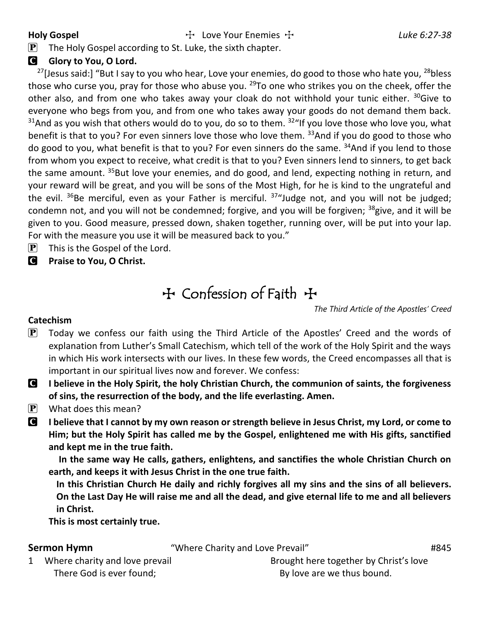**Holy Gospel** The Love Your Enemies  $\pm$  27-38

 $\mathbf{P}$  The Holy Gospel according to St. Luke, the sixth chapter.

### **G** Glory to You, O Lord.

<sup>27</sup>[Jesus said:] "But I say to you who hear, Love your enemies, do good to those who hate you,  $^{28}$ bless those who curse you, pray for those who abuse you. <sup>29</sup>To one who strikes you on the cheek, offer the other also, and from one who takes away your cloak do not withhold your tunic either. <sup>30</sup>Give to everyone who begs from you, and from one who takes away your goods do not demand them back.  $31$ And as you wish that others would do to you, do so to them.  $32$ "If you love those who love you, what benefit is that to you? For even sinners love those who love them. <sup>33</sup>And if you do good to those who do good to you, what benefit is that to you? For even sinners do the same. <sup>34</sup>And if you lend to those from whom you expect to receive, what credit is that to you? Even sinners lend to sinners, to get back the same amount. <sup>35</sup>But love your enemies, and do good, and lend, expecting nothing in return, and your reward will be great, and you will be sons of the Most High, for he is kind to the ungrateful and the evil.  $36$ Be merciful, even as your Father is merciful.  $37$ "Judge not, and you will not be judged; condemn not, and you will not be condemned; forgive, and you will be forgiven; <sup>38</sup>give, and it will be given to you. Good measure, pressed down, shaken together, running over, will be put into your lap. For with the measure you use it will be measured back to you."

- $\left[ \mathbf{P} \right]$  This is the Gospel of the Lord.
- C **Praise to You, O Christ.**

## TConfession of Faith T

*The Third Article of the Apostles' Creed*

### **Catechism**

- $\mathbf{P}$  Today we confess our faith using the Third Article of the Apostles' Creed and the words of explanation from Luther's Small Catechism, which tell of the work of the Holy Spirit and the ways in which His work intersects with our lives. In these few words, the Creed encompasses all that is important in our spiritual lives now and forever. We confess:
- C **I believe in the Holy Spirit, the holy Christian Church, the communion of saints, the forgiveness of sins, the resurrection of the body, and the life everlasting. Amen.**
- $[P]$  What does this mean?
- C **I believe that I cannot by my own reason or strength believe in Jesus Christ, my Lord, or come to Him; but the Holy Spirit has called me by the Gospel, enlightened me with His gifts, sanctified and kept me in the true faith.**

**In the same way He calls, gathers, enlightens, and sanctifies the whole Christian Church on earth, and keeps it with Jesus Christ in the one true faith.**

**In this Christian Church He daily and richly forgives all my sins and the sins of all believers. On the Last Day He will raise me and all the dead, and give eternal life to me and all believers in Christ.**

**This is most certainly true.**

**Sermon Hymn** "Where Charity and Love Prevail" **#845** 

1 Where charity and love prevail There God is ever found;

Brought here together by Christ's love By love are we thus bound.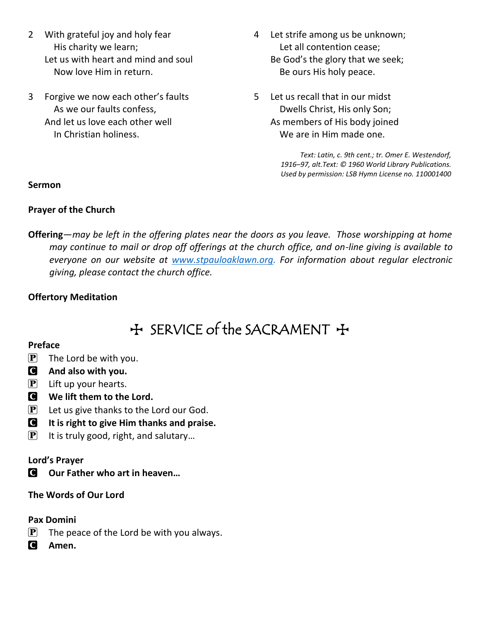- 2 With grateful joy and holy fear His charity we learn; Let us with heart and mind and soul Now love Him in return.
- 3 Forgive we now each other's faults As we our faults confess, And let us love each other well In Christian holiness.
- 4 Let strife among us be unknown; Let all contention cease; Be God's the glory that we seek; Be ours His holy peace.
- 5 Let us recall that in our midst Dwells Christ, His only Son; As members of His body joined We are in Him made one.

*Text: Latin, c. 9th cent.; tr. Omer E. Westendorf, 1916–97, alt.Text: © 1960 World Library Publications. Used by permission: LSB Hymn License no. 110001400*

### **Sermon**

### **Prayer of the Church**

**Offering**—*may be left in the offering plates near the doors as you leave. Those worshipping at home may continue to mail or drop off offerings at the church office, and on-line giving is available to everyone on our website at [www.stpauloaklawn.org.](http://www.stpauloaklawn.org/) For information about regular electronic giving, please contact the church office.* 

### **Offertory Meditation**

## + SERVICE of the SACRAMENT +

### **Preface**

- $\left| \mathbf{P} \right|$  The Lord be with you.
- C **And also with you.**
- $\left| \mathbf{P} \right|$  Lift up your hearts.
- C **We lift them to the Lord.**
- $\mathbf{P}$  Let us give thanks to the Lord our God.
- C **It is right to give Him thanks and praise.**
- $\mathbf{P}$  It is truly good, right, and salutary...

### **Lord's Prayer**

C **Our Father who art in heaven…**

### **The Words of Our Lord**

### **Pax Domini**

- $\mathbf{P}$  The peace of the Lord be with you always.
- C **Amen.**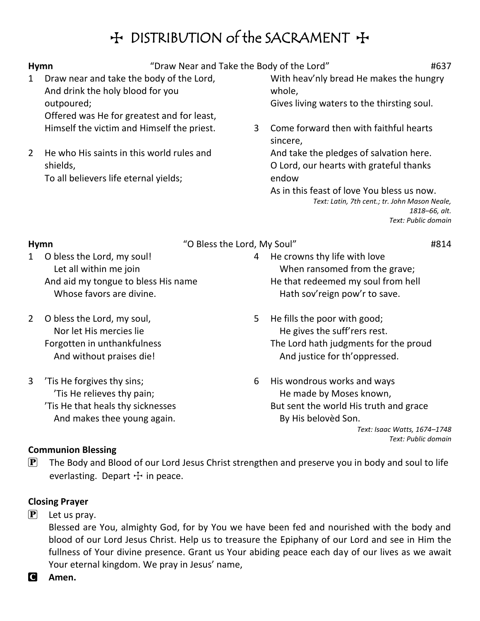## H DISTRIBUTION of the SACRAMENT +

| <b>Hymn</b>           |                                                                                                                                          | "Draw Near and Take the Body of the Lord" |                                                                                                                                                                                                             |
|-----------------------|------------------------------------------------------------------------------------------------------------------------------------------|-------------------------------------------|-------------------------------------------------------------------------------------------------------------------------------------------------------------------------------------------------------------|
| 1                     | Draw near and take the body of the Lord,<br>And drink the holy blood for you<br>outpoured;<br>Offered was He for greatest and for least, |                                           | With heav'nly bread He makes the hungry<br>whole,<br>Gives living waters to the thirsting soul.                                                                                                             |
|                       | Himself the victim and Himself the priest.                                                                                               | 3                                         | Come forward then with faithful hearts<br>sincere,                                                                                                                                                          |
| $\mathbf{2}^{\prime}$ | He who His saints in this world rules and<br>shields,<br>To all believers life eternal yields;                                           |                                           | And take the pledges of salvation here.<br>O Lord, our hearts with grateful thanks<br>endow<br>As in this feast of love You bless us now.<br>Text: Latin, 7th cent.; tr. John Mason Neale,<br>1818-66, alt. |
|                       |                                                                                                                                          |                                           | Text: Public domain                                                                                                                                                                                         |
| <b>Hymn</b>           | "O Bless the Lord, My Soul"                                                                                                              |                                           | #814                                                                                                                                                                                                        |
| 1                     | O bless the Lord, my soul!<br>Let all within me join<br>And aid my tongue to bless His name<br>Whose favors are divine.                  | 4                                         | He crowns thy life with love<br>When ransomed from the grave;<br>He that redeemed my soul from hell<br>Hath sov'reign pow'r to save.                                                                        |

- 2 O bless the Lord, my soul, Nor let His mercies lie Forgotten in unthankfulness And without praises die!
- 3 'Tis He forgives thy sins; 'Tis He relieves thy pain; 'Tis He that heals thy sicknesses And makes thee young again.
- 5 He fills the poor with good; He gives the suff'rers rest. The Lord hath judgments for the proud And justice for th'oppressed.
- 6 His wondrous works and ways He made by Moses known, But sent the world His truth and grace By His belovèd Son.

*Text: Isaac Watts, 1674–1748 Text: Public domain*

### **Communion Blessing**

 $\mathbf{P}$  The Body and Blood of our Lord Jesus Christ strengthen and preserve you in body and soul to life everlasting. Depart  $+$  in peace.

## **Closing Prayer**

 $[P]$  Let us pray.

Blessed are You, almighty God, for by You we have been fed and nourished with the body and blood of our Lord Jesus Christ. Help us to treasure the Epiphany of our Lord and see in Him the fullness of Your divine presence. Grant us Your abiding peace each day of our lives as we await Your eternal kingdom. We pray in Jesus' name,

C **Amen.**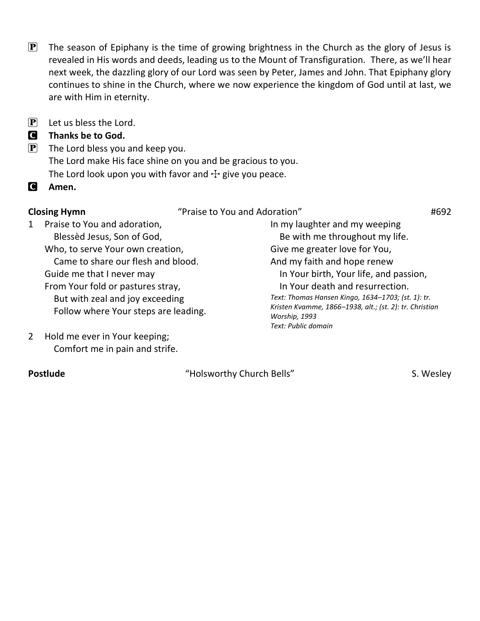- $\mathbf{P}$  The season of Epiphany is the time of growing brightness in the Church as the glory of Jesus is revealed in His words and deeds, leading us to the Mount of Transfiguration. There, as we'll hear next week, the dazzling glory of our Lord was seen by Peter, James and John. That Epiphany glory continues to shine in the Church, where we now experience the kingdom of God until at last, we are with Him in eternity.
- $\overline{P}$  Let us bless the Lord.

## C **Thanks be to God.**

- $\left[ \mathbf{P} \right]$  The Lord bless you and keep you. The Lord make His face shine on you and be gracious to you. The Lord look upon you with favor and  $\pm$  give you peace.
- C **Amen.**

**Closing Hymn**  $\qquad$  "Praise to You and Adoration"  $\qquad$  #692

In my laughter and my weeping Be with me throughout my life.

Give me greater love for You, And my faith and hope renew

*Worship, 1993 Text: Public domain*

 In Your birth, Your life, and passion, In Your death and resurrection. *Text: Thomas Hansen Kingo, 1634–1703; (st. 1): tr. Kristen Kvamme, 1866–1938, alt.; (st. 2): tr. Christian* 

- 1 Praise to You and adoration, Blessèd Jesus, Son of God, Who, to serve Your own creation, Came to share our flesh and blood. Guide me that I never may From Your fold or pastures stray, But with zeal and joy exceeding Follow where Your steps are leading.
- 2 Hold me ever in Your keeping; Comfort me in pain and strife.

Postlude **Example 20 Figure 10 and 10 Figure 10 and 10 Figure 10 and 10 Figure 10 and 10 Figure 10 and 10 Figure 10 and 10 Figure 10 and 10 Figure 10 and 10 Figure 10 and 10 Figure 10 and 10 Figure 10 and 10 Figure 10 and**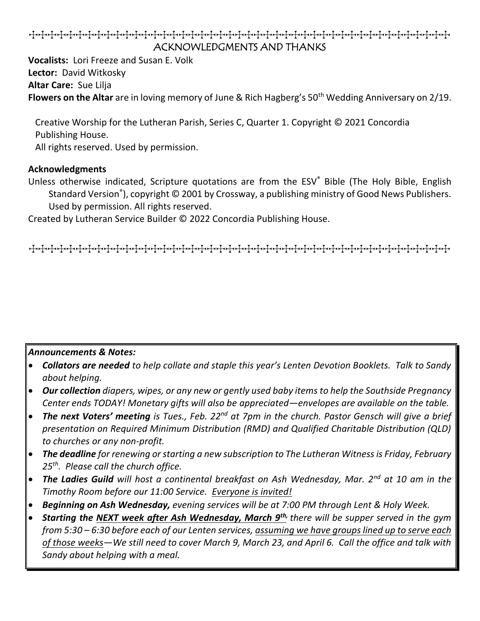## TTTTTTTTTTTTTTTTTTTTTTTTTTTTTTTTTTTTTTTTTTTTT ACKNOWLEDGMENTS AND THANKS

**Vocalists:** Lori Freeze and Susan E. Volk **Lector:** David Witkosky **Altar Care:** Sue Lilja Flowers on the Altar are in loving memory of June & Rich Hagberg's 50<sup>th</sup> Wedding Anniversary on 2/19.

Creative Worship for the Lutheran Parish, Series C, Quarter 1. Copyright © 2021 Concordia Publishing House.

All rights reserved. Used by permission.

### **Acknowledgments**

Unless otherwise indicated, Scripture quotations are from the ESV® Bible (The Holy Bible, English Standard Version<sup>®</sup>), copyright © 2001 by Crossway, a publishing ministry of Good News Publishers. Used by permission. All rights reserved.

Created by Lutheran Service Builder © 2022 Concordia Publishing House.

TTTTTTTTTTTTTTTTTTTTTTTTTTTTTTTTTTTTTTTTTTTTT

### *Announcements & Notes:*

- *Collators are needed to help collate and staple this year's Lenten Devotion Booklets. Talk to Sandy about helping.*
- *Our collection diapers, wipes, or any new or gently used baby items to help the Southside Pregnancy Center ends TODAY! Monetary gifts will also be appreciated—envelopes are available on the table.*
- *The next Voters' meeting is Tues., Feb. 22nd at 7pm in the church. Pastor Gensch will give a brief presentation on Required Minimum Distribution (RMD) and Qualified Charitable Distribution (QLD) to churches or any non-profit.*
- *The deadline for renewing or starting a new subscription to The Lutheran Witness is Friday, February 25th. Please call the church office.*
- *The Ladies Guild will host a continental breakfast on Ash Wednesday, Mar. 2nd at 10 am in the Timothy Room before our 11:00 Service. Everyone is invited!*
- *Beginning on Ash Wednesday, evening services will be at 7:00 PM through Lent & Holy Week.*
- *Starting the NEXT week after Ash Wednesday, March 9th, there will be supper served in the gym from 5:30 – 6:30 before each of our Lenten services, assuming we have groups lined up to serve each of those weeks—We still need to cover March 9, March 23, and April 6. Call the office and talk with Sandy about helping with a meal.*